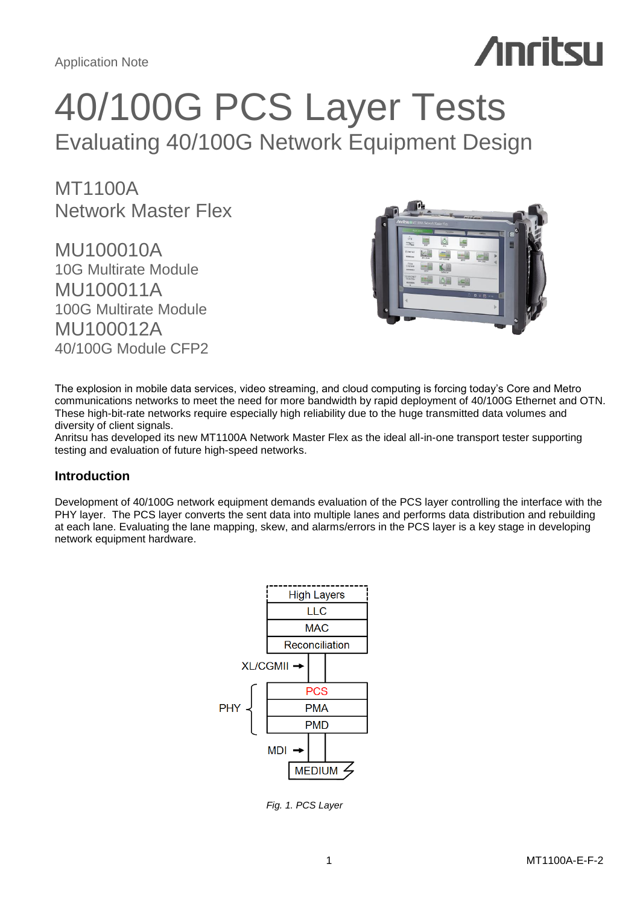# **Anritsu**

# 40/100G PCS Layer Tests Evaluating 40/100G Network Equipment Design

MT1100A Network Master Flex

MU100010A 10G Multirate Module MU100011A 100G Multirate Module MU100012A 40/100G Module CFP2



The explosion in mobile data services, video streaming, and cloud computing is forcing today's Core and Metro communications networks to meet the need for more bandwidth by rapid deployment of 40/100G Ethernet and OTN. These high-bit-rate networks require especially high reliability due to the huge transmitted data volumes and diversity of client signals.

Anritsu has developed its new MT1100A Network Master Flex as the ideal all-in-one transport tester supporting testing and evaluation of future high-speed networks.

# **Introduction**

Development of 40/100G network equipment demands evaluation of the PCS layer controlling the interface with the PHY layer. The PCS layer converts the sent data into multiple lanes and performs data distribution and rebuilding at each lane. Evaluating the lane mapping, skew, and alarms/errors in the PCS layer is a key stage in developing network equipment hardware.



*Fig. 1. PCS Layer*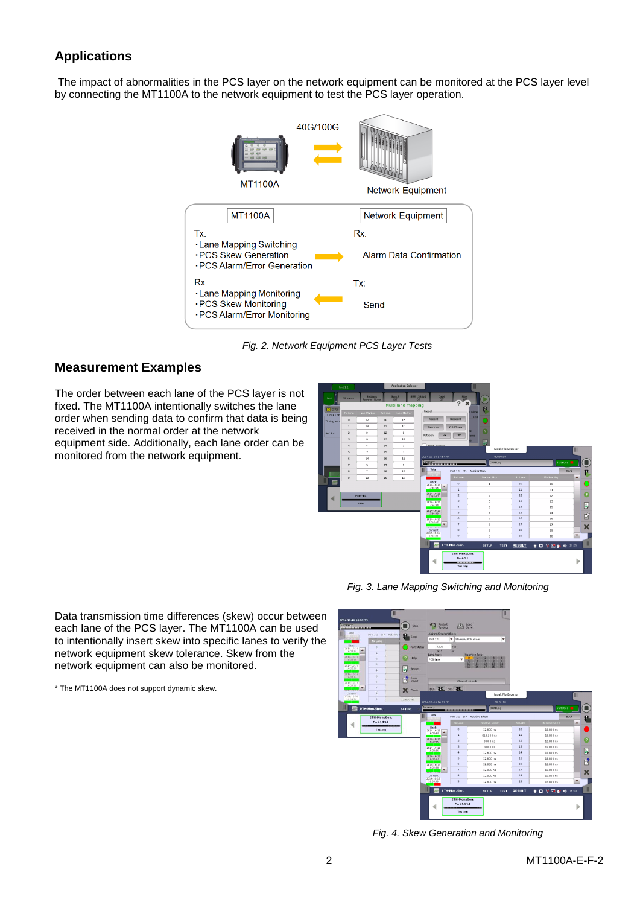# **Applications**

 The impact of abnormalities in the PCS layer on the network equipment can be monitored at the PCS layer level by connecting the MT1100A to the network equipment to test the PCS layer operation.



*Fig. 2. Network Equipment PCS Layer Tests*

# **Measurement Examples**

The order between each lane of the PCS layer is not fixed. The MT1100A intentionally switches the lane order when sending data to confirm that data is being received in the normal order at the network equipment side. Additionally, each lane order can be monitored from the network equipment.



*Fig. 3. Lane Mapping Switching and Monitoring*

Data transmission time differences (skew) occur between each lane of the PCS layer. The MT1100A can be used to intentionally insert skew into specific lanes to verify the network equipment skew tolerance. Skew from the network equipment can also be monitored.

\* The MT1100A does not support dynamic skew.



*Fig. 4. Skew Generation and Monitoring*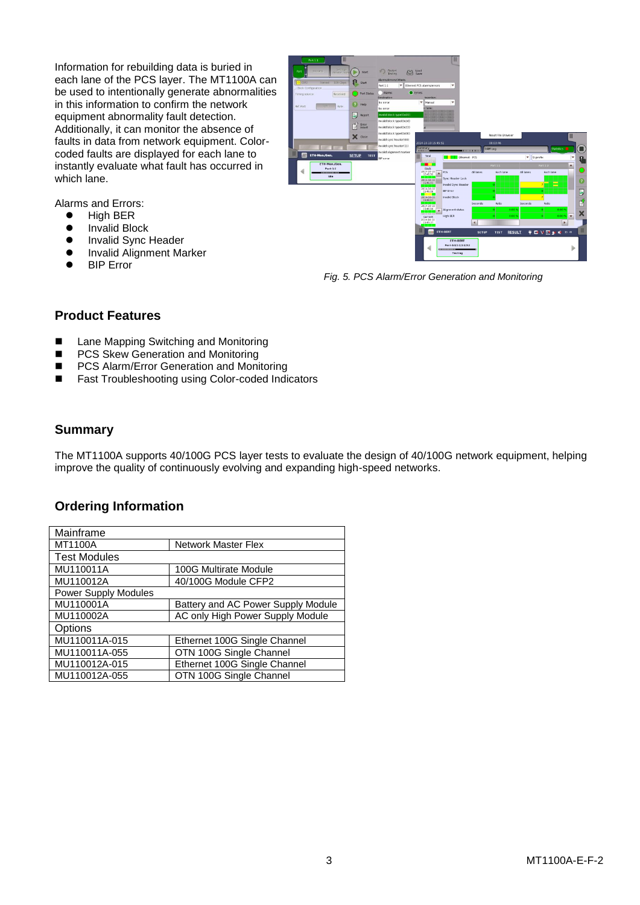Information for rebuilding data is buried in each lane of the PCS layer. The MT1100A can be used to intentionally generate abnormalities in this information to confirm the network equipment abnormality fault detection. Additionally, it can monitor the absence of faults in data from network equipment. Colorcoded faults are displayed for each lane to instantly evaluate what fault has occurred in which lane.

Alarms and Errors:

- $\bullet$  High BER
- **•** Invalid Block
- **•** Invalid Sync Header
- Invalid Alignment Marker
- BIP Error



*Fig. 5. PCS Alarm/Error Generation and Monitoring*

# **Product Features**

- Lane Mapping Switching and Monitoring
- PCS Skew Generation and Monitoring
- PCS Alarm/Error Generation and Monitoring
- Fast Troubleshooting using Color-coded Indicators

## **Summary**

The MT1100A supports 40/100G PCS layer tests to evaluate the design of 40/100G network equipment, helping improve the quality of continuously evolving and expanding high-speed networks.

# **Ordering Information**

| Mainframe                   |                                    |
|-----------------------------|------------------------------------|
| MT1100A                     | Network Master Flex                |
| <b>Test Modules</b>         |                                    |
| MU110011A                   | 100G Multirate Module              |
| MU110012A                   | 40/100G Module CFP2                |
| <b>Power Supply Modules</b> |                                    |
| MU110001A                   | Battery and AC Power Supply Module |
| MU110002A                   | AC only High Power Supply Module   |
| Options                     |                                    |
| MU110011A-015               | Ethernet 100G Single Channel       |
| MU110011A-055               | OTN 100G Single Channel            |
| MU110012A-015               | Ethernet 100G Single Channel       |
| MU110012A-055               | OTN 100G Single Channel            |